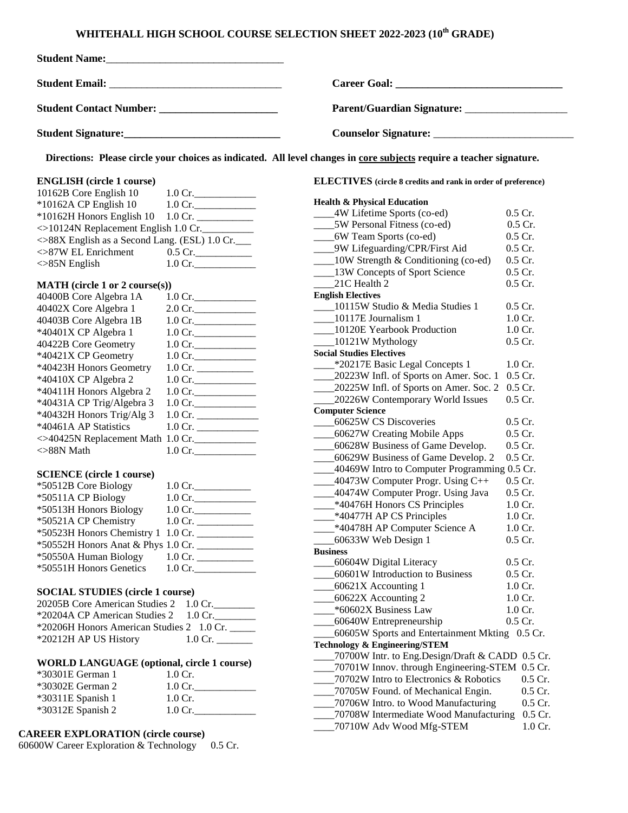## **WHITEHALL HIGH SCHOOL COURSE SELECTION SHEET 2022-2023 (10th GRADE)**

| Student Name: 1988 and 2008 and 2008 and 2008 and 2008 and 2008 and 2008 and 2008 and 2008 and 2008 and 2008 and 2008 and 2008 and 2008 and 2008 and 2008 and 2008 and 2008 and 2008 and 2008 and 2008 and 2008 and 2008 and 2 |                   |                                                                                                                      |                                                   |  |  |
|--------------------------------------------------------------------------------------------------------------------------------------------------------------------------------------------------------------------------------|-------------------|----------------------------------------------------------------------------------------------------------------------|---------------------------------------------------|--|--|
|                                                                                                                                                                                                                                |                   |                                                                                                                      |                                                   |  |  |
|                                                                                                                                                                                                                                |                   | Parent/Guardian Signature: _____________________                                                                     |                                                   |  |  |
|                                                                                                                                                                                                                                |                   |                                                                                                                      |                                                   |  |  |
|                                                                                                                                                                                                                                |                   | Directions: Please circle your choices as indicated. All level changes in core subjects require a teacher signature. |                                                   |  |  |
| <b>ENGLISH</b> (circle 1 course)<br>10162B Core English 10<br>$1.0 \text{ Cr.}$                                                                                                                                                |                   | <b>ELECTIVES</b> (circle 8 credits and rank in order of preference)                                                  |                                                   |  |  |
|                                                                                                                                                                                                                                |                   | <b>Health &amp; Physical Education</b>                                                                               |                                                   |  |  |
| *10162A CP English 10                                                                                                                                                                                                          | $1.0$ Cr.         | ____4W Lifetime Sports (co-ed)                                                                                       | $0.5$ Cr.                                         |  |  |
| *10162H Honors English 10                                                                                                                                                                                                      |                   | 5W Personal Fitness (co-ed)                                                                                          | 0.5 Cr.                                           |  |  |
| <>10124N Replacement English 1.0 Cr.                                                                                                                                                                                           |                   | _____6W Team Sports (co-ed)                                                                                          | 0.5 Cr.                                           |  |  |
| ◇88X English as a Second Lang. (ESL) 1.0 Cr.                                                                                                                                                                                   |                   |                                                                                                                      | 0.5 Cr.                                           |  |  |
| $\ll$ 87W EL Enrichment                                                                                                                                                                                                        | $0.5$ Cr.         | ____9W Lifeguarding/CPR/First Aid                                                                                    |                                                   |  |  |
| $\oslash$ 85N English                                                                                                                                                                                                          | $1.0 \text{ Cr.}$ | ____10W Strength & Conditioning (co-ed)                                                                              | 0.5 Cr.                                           |  |  |
|                                                                                                                                                                                                                                |                   | ____13W Concepts of Sport Science                                                                                    | 0.5 Cr.                                           |  |  |
| MATH (circle 1 or 2 course(s))                                                                                                                                                                                                 |                   | 21C Health 2                                                                                                         | 0.5 Cr.                                           |  |  |
| 40400B Core Algebra 1A                                                                                                                                                                                                         | $1.0 \text{ Cr.}$ | <b>English Electives</b>                                                                                             |                                                   |  |  |
| 40402X Core Algebra 1                                                                                                                                                                                                          | $2.0 \text{ Cr.}$ | 10115W Studio & Media Studies 1                                                                                      | $0.5$ Cr.                                         |  |  |
| 40403B Core Algebra 1B                                                                                                                                                                                                         | $1.0 \text{ Cr.}$ | ___10117E Journalism 1                                                                                               | 1.0 Cr.                                           |  |  |
| *40401X CP Algebra 1                                                                                                                                                                                                           | $1.0 \text{ Cr.}$ | 10120E Yearbook Production                                                                                           | 1.0 Cr.                                           |  |  |
| 40422B Core Geometry                                                                                                                                                                                                           | $1.0 \text{ Cr.}$ | $\frac{10121W}{2}$ Mythology                                                                                         | 0.5 Cr.                                           |  |  |
| *40421X CP Geometry                                                                                                                                                                                                            | $1.0 \text{ Cr.}$ | <b>Social Studies Electives</b>                                                                                      |                                                   |  |  |
| *40423H Honors Geometry                                                                                                                                                                                                        |                   | -*20217E Basic Legal Concepts 1                                                                                      | $1.0 \text{ Cr.}$                                 |  |  |
|                                                                                                                                                                                                                                |                   | _20223W Infl. of Sports on Amer. Soc. 1 0.5 Cr.                                                                      |                                                   |  |  |
| *40410X CP Algebra 2                                                                                                                                                                                                           | $1.0 \text{ Cr.}$ | 20225W Infl. of Sports on Amer. Soc. 2                                                                               | $0.5$ Cr.                                         |  |  |
| *40411H Honors Algebra 2                                                                                                                                                                                                       | $1.0 \text{ Cr.}$ | 20226W Contemporary World Issues                                                                                     | 0.5 Cr.                                           |  |  |
| *40431A CP Trig/Algebra 3                                                                                                                                                                                                      | $1.0 \text{ Cr.}$ | <b>Computer Science</b>                                                                                              |                                                   |  |  |
| *40432H Honors Trig/Alg 3                                                                                                                                                                                                      |                   | 60625W CS Discoveries                                                                                                | $0.5$ Cr.                                         |  |  |
| *40461A AP Statistics                                                                                                                                                                                                          |                   | ___60627W Creating Mobile Apps                                                                                       | 0.5 Cr.                                           |  |  |
| <>40425N Replacement Math 1.0 Cr.                                                                                                                                                                                              |                   | ___60628W Business of Game Develop.                                                                                  | 0.5 Cr.                                           |  |  |
| $\oslash$ 88N Math                                                                                                                                                                                                             | $1.0$ Cr.         |                                                                                                                      |                                                   |  |  |
|                                                                                                                                                                                                                                |                   | 60629W Business of Game Develop. 2                                                                                   | 0.5 Cr.                                           |  |  |
| <b>SCIENCE</b> (circle 1 course)                                                                                                                                                                                               |                   | ____40469W Intro to Computer Programming 0.5 Cr.                                                                     |                                                   |  |  |
| *50512B Core Biology                                                                                                                                                                                                           | $1.0 \text{ Cr.}$ | $\frac{1}{2}$ 40473W Computer Progr. Using C++                                                                       | 0.5 Cr.                                           |  |  |
| *50511A CP Biology                                                                                                                                                                                                             | $1.0 \text{ Cr.}$ | 40474W Computer Progr. Using Java                                                                                    | 0.5 Cr.                                           |  |  |
| *50513H Honors Biology                                                                                                                                                                                                         | 1.0 Cr.           | *40476H Honors CS Principles                                                                                         | 1.0 Cr.                                           |  |  |
| *50521A CP Chemistry                                                                                                                                                                                                           |                   | *40477H AP CS Principles                                                                                             | 1.0 Cr.                                           |  |  |
| *50523H Honors Chemistry 1 1.0 Cr.                                                                                                                                                                                             |                   | -*40478H AP Computer Science A                                                                                       | 1.0 Cr.                                           |  |  |
| *50552H Honors Anat & Phys 1.0 Cr.                                                                                                                                                                                             |                   | 60633W Web Design 1                                                                                                  | 0.5 Cr.                                           |  |  |
|                                                                                                                                                                                                                                |                   | <b>Business</b>                                                                                                      |                                                   |  |  |
| *50550A Human Biology                                                                                                                                                                                                          |                   | 60604W Digital Literacy                                                                                              | $0.5$ Cr.                                         |  |  |
| *50551H Honors Genetics                                                                                                                                                                                                        | $1.0 \text{ Cr.}$ | 60601W Introduction to Business                                                                                      | 0.5 Cr.                                           |  |  |
|                                                                                                                                                                                                                                |                   | 60621X Accounting 1                                                                                                  | $1.0$ Cr.                                         |  |  |
| <b>SOCIAL STUDIES (circle 1 course)</b>                                                                                                                                                                                        |                   | 60622X Accounting 2                                                                                                  | $1.0$ Cr.                                         |  |  |
| 20205B Core American Studies 2<br>$1.0 \text{ Cr.}$                                                                                                                                                                            |                   | *60602X Business Law                                                                                                 | $1.0$ Cr.                                         |  |  |
| *20204A CP American Studies 2                                                                                                                                                                                                  | $1.0 \text{ Cr.}$ | 60640W Entrepreneurship                                                                                              | $0.5$ Cr.                                         |  |  |
| *20206H Honors American Studies 2 1.0 Cr.                                                                                                                                                                                      |                   | 60605W Sports and Entertainment Mkting 0.5 Cr.                                                                       |                                                   |  |  |
| *20212H AP US History                                                                                                                                                                                                          |                   | <b>Technology &amp; Engineering/STEM</b>                                                                             |                                                   |  |  |
|                                                                                                                                                                                                                                |                   |                                                                                                                      |                                                   |  |  |
| <b>WORLD LANGUAGE (optional, circle 1 course)</b>                                                                                                                                                                              |                   |                                                                                                                      | __70700W Intr. to Eng.Design/Draft & CADD 0.5 Cr. |  |  |
| *30301E German 1                                                                                                                                                                                                               | $1.0$ Cr.         | _70701W Innov. through Engineering-STEM 0.5 Cr.                                                                      |                                                   |  |  |
| *30302E German 2                                                                                                                                                                                                               | $1.0 \text{ Cr.}$ | 70702W Intro to Electronics & Robotics                                                                               | 0.5 Cr.                                           |  |  |
| *30311E Spanish 1                                                                                                                                                                                                              | 1.0 Cr.           | _70705W Found. of Mechanical Engin.                                                                                  | 0.5 Cr.                                           |  |  |
| *30312E Spanish 2                                                                                                                                                                                                              | $1.0 \text{ Cr.}$ | _70706W Intro. to Wood Manufacturing                                                                                 | 0.5 Cr.                                           |  |  |
|                                                                                                                                                                                                                                |                   | 70708W Intermediate Wood Manufacturing                                                                               | 0.5 Cr.                                           |  |  |
| <b>DEED EVBLOD ATION</b> (2011) <b>CONTINUES</b>                                                                                                                                                                               |                   | 70710W Adv Wood Mfg-STEM                                                                                             | $1.0$ Cr.                                         |  |  |

**CAREER EXPLORATION (circle course)**

60600W Career Exploration & Technology 0.5 Cr.